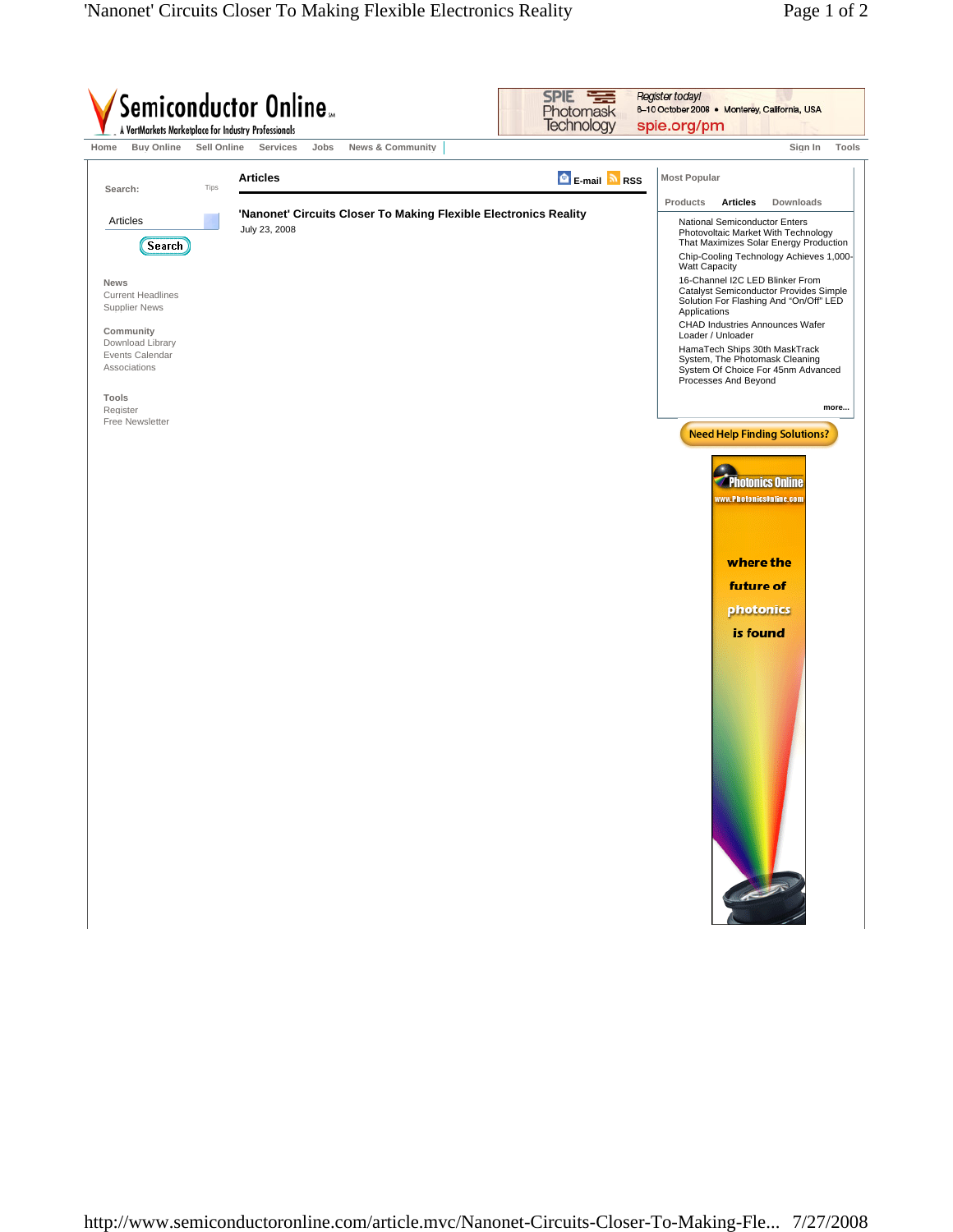| A VertMarkets Marketplace for Industry Professionals<br><b>Buy Online</b><br>Home | Sell Online<br>Services<br>Jobs | <b>News &amp; Community</b>                                      |                              | Sign In<br>Tools                                                                                                                                          |
|-----------------------------------------------------------------------------------|---------------------------------|------------------------------------------------------------------|------------------------------|-----------------------------------------------------------------------------------------------------------------------------------------------------------|
| Search:                                                                           | <b>Articles</b><br>Tips         |                                                                  | <b>B</b> E-mail <b>a</b> RSS | <b>Most Popular</b>                                                                                                                                       |
|                                                                                   |                                 |                                                                  |                              | Products<br><b>Articles</b><br>Downloads                                                                                                                  |
| Articles<br>Search)                                                               | July 23, 2008                   | 'Nanonet' Circuits Closer To Making Flexible Electronics Reality |                              | National Semiconductor Enters<br>Photovoltaic Market With Technology<br>That Maximizes Solar Energy Production<br>Chip-Cooling Technology Achieves 1,000- |
| News<br><b>Current Headlines</b><br><b>Supplier News</b>                          |                                 |                                                                  |                              | Watt Capacity<br>16-Channel I2C LED Blinker From<br>Catalyst Semiconductor Provides Simple<br>Solution For Flashing And "On/Off" LED                      |
| Community                                                                         |                                 |                                                                  |                              | Applications<br>CHAD Industries Announces Wafer<br>Loader / Unloader                                                                                      |
| Download Library<br>Events Calendar<br>Associations                               |                                 |                                                                  |                              | HamaTech Ships 30th MaskTrack<br>System, The Photomask Cleaning<br>System Of Choice For 45nm Advanced<br>Processes And Beyond                             |
| Tools<br>Register<br>Free Newsletter                                              |                                 |                                                                  |                              | more                                                                                                                                                      |
|                                                                                   |                                 |                                                                  |                              | <b>Photonics Online</b><br>www.PhotonicsOnline.com<br>where the<br>future of<br>photonics<br>is found                                                     |